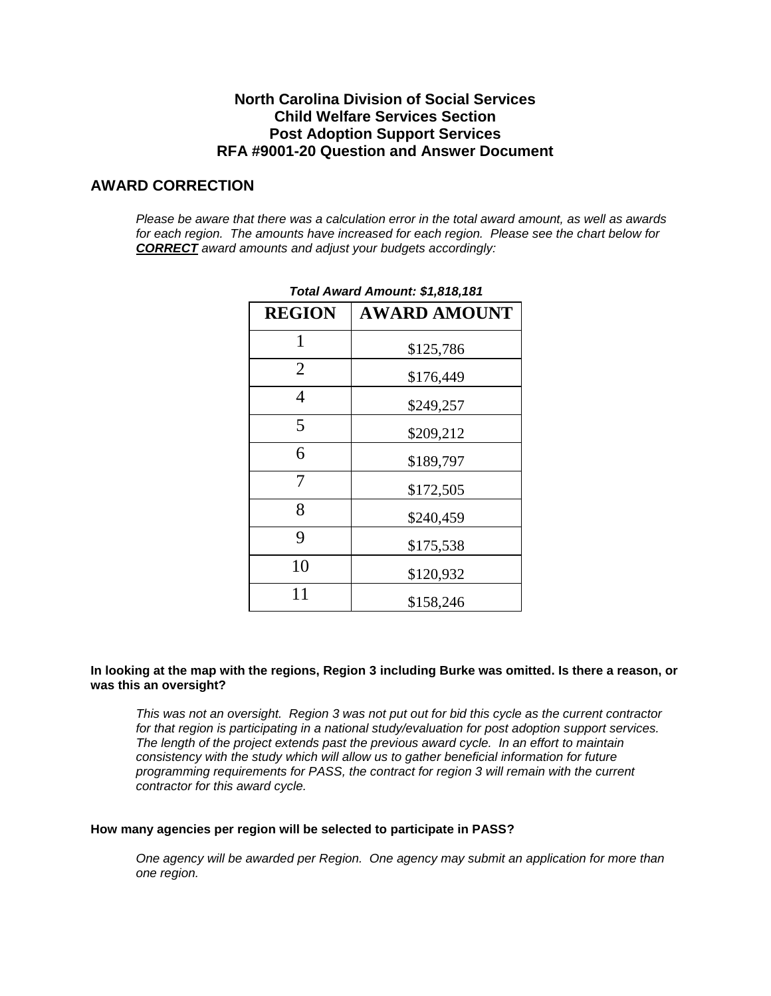# **North Carolina Division of Social Services Child Welfare Services Section Post Adoption Support Services RFA #9001-20 Question and Answer Document**

# **AWARD CORRECTION**

*Please be aware that there was a calculation error in the total award amount, as well as awards for each region. The amounts have increased for each region. Please see the chart below for CORRECT award amounts and adjust your budgets accordingly:*

| Total Award Amount: \$1,818,181 |                     |  |  |  |
|---------------------------------|---------------------|--|--|--|
| <b>REGION</b>                   | <b>AWARD AMOUNT</b> |  |  |  |
| 1                               | \$125,786           |  |  |  |
| 2                               | \$176,449           |  |  |  |
| $\overline{4}$                  | \$249,257           |  |  |  |
| 5                               | \$209,212           |  |  |  |
| 6                               | \$189,797           |  |  |  |
| 7                               | \$172,505           |  |  |  |
| 8                               | \$240,459           |  |  |  |
| 9                               | \$175,538           |  |  |  |
| 10                              | \$120,932           |  |  |  |
| 11                              | \$158,246           |  |  |  |

# **In looking at the map with the regions, Region 3 including Burke was omitted. Is there a reason, or was this an oversight?**

*This was not an oversight. Region 3 was not put out for bid this cycle as the current contractor for that region is participating in a national study/evaluation for post adoption support services. The length of the project extends past the previous award cycle. In an effort to maintain consistency with the study which will allow us to gather beneficial information for future programming requirements for PASS, the contract for region 3 will remain with the current contractor for this award cycle.* 

## **How many agencies per region will be selected to participate in PASS?**

*One agency will be awarded per Region. One agency may submit an application for more than one region.*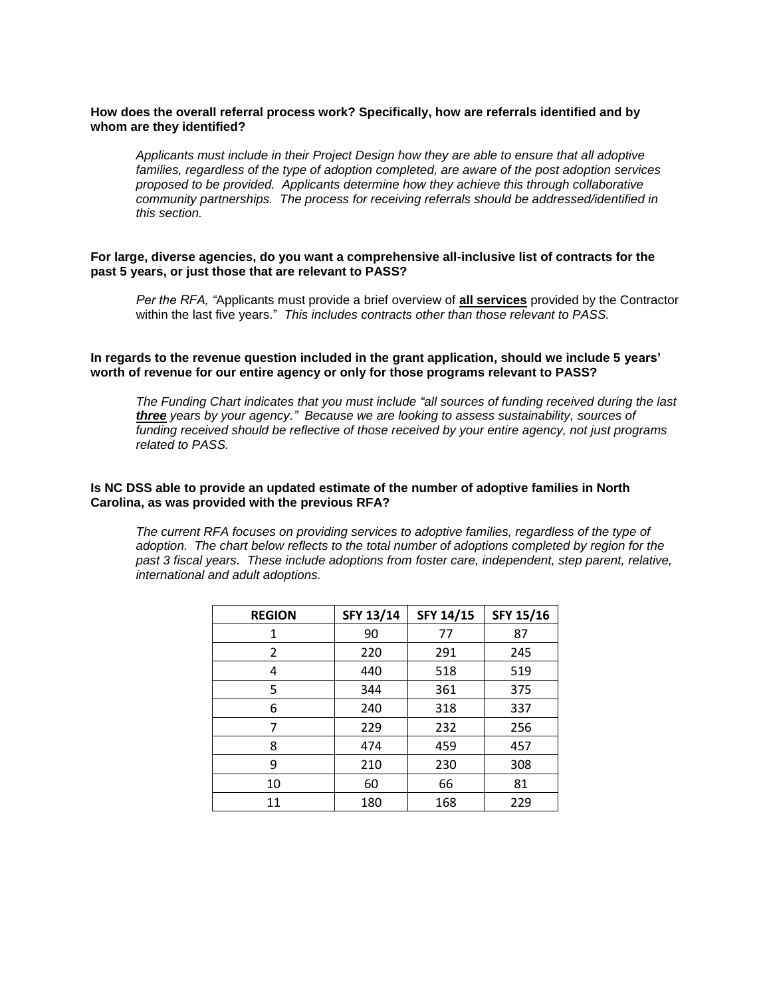#### **How does the overall referral process work? Specifically, how are referrals identified and by whom are they identified?**

*Applicants must include in their Project Design how they are able to ensure that all adoptive families, regardless of the type of adoption completed, are aware of the post adoption services proposed to be provided. Applicants determine how they achieve this through collaborative community partnerships. The process for receiving referrals should be addressed/identified in this section.* 

#### **For large, diverse agencies, do you want a comprehensive all-inclusive list of contracts for the past 5 years, or just those that are relevant to PASS?**

*Per the RFA, "*Applicants must provide a brief overview of **all services** provided by the Contractor within the last five years." *This includes contracts other than those relevant to PASS.* 

**In regards to the revenue question included in the grant application, should we include 5 years' worth of revenue for our entire agency or only for those programs relevant to PASS?**

*The Funding Chart indicates that you must include "all sources of funding received during the last three years by your agency." Because we are looking to assess sustainability, sources of funding received should be reflective of those received by your entire agency, not just programs related to PASS.* 

#### **Is NC DSS able to provide an updated estimate of the number of adoptive families in North Carolina, as was provided with the previous RFA?**

*The current RFA focuses on providing services to adoptive families, regardless of the type of adoption. The chart below reflects to the total number of adoptions completed by region for the past 3 fiscal years. These include adoptions from foster care, independent, step parent, relative, international and adult adoptions.*

| <b>REGION</b>  | <b>SFY 13/14</b> | SFY 14/15 | SFY 15/16 |
|----------------|------------------|-----------|-----------|
| 1              | 90               | 77        | 87        |
| $\overline{2}$ | 220              | 291       | 245       |
| 4              | 440              | 518       | 519       |
| 5              | 344              | 361       | 375       |
| 6              | 240              | 318       | 337       |
| 7              | 229              | 232       | 256       |
| 8              | 474              | 459       | 457       |
| ٩              | 210              | 230       | 308       |
| 10             | 60               | 66        | 81        |
| 11             | 180              | 168       | 229       |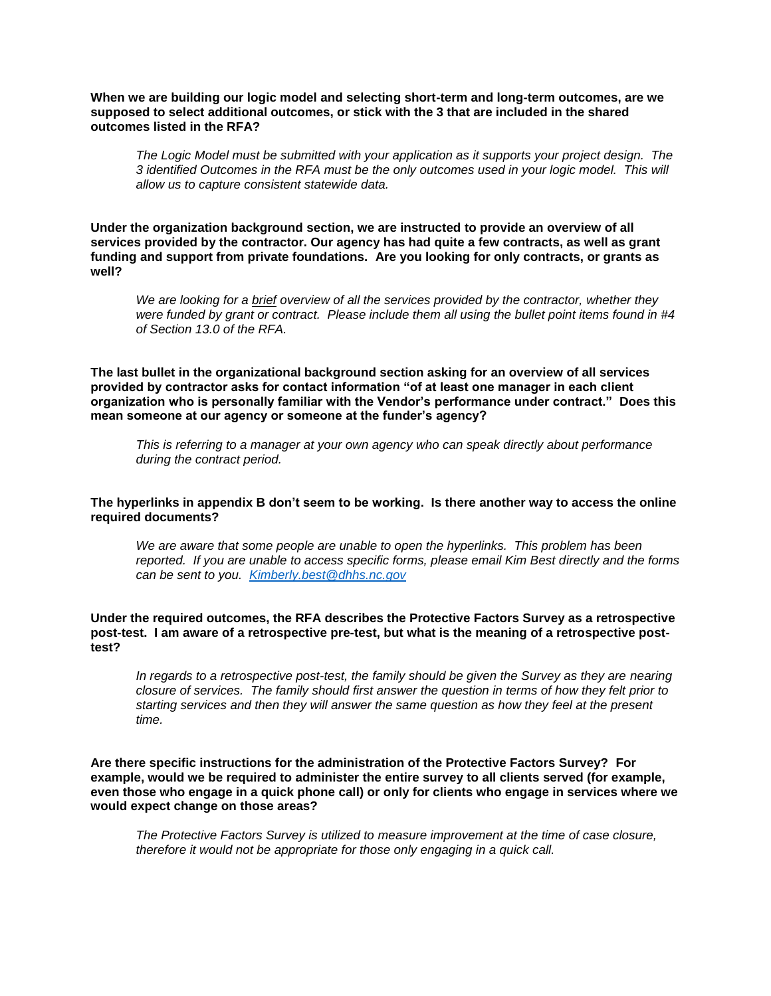**When we are building our logic model and selecting short-term and long-term outcomes, are we supposed to select additional outcomes, or stick with the 3 that are included in the shared outcomes listed in the RFA?**

*The Logic Model must be submitted with your application as it supports your project design. The 3 identified Outcomes in the RFA must be the only outcomes used in your logic model. This will allow us to capture consistent statewide data.*

**Under the organization background section, we are instructed to provide an overview of all services provided by the contractor. Our agency has had quite a few contracts, as well as grant funding and support from private foundations. Are you looking for only contracts, or grants as well?**

*We are looking for a brief overview of all the services provided by the contractor, whether they were funded by grant or contract. Please include them all using the bullet point items found in #4 of Section 13.0 of the RFA.* 

**The last bullet in the organizational background section asking for an overview of all services provided by contractor asks for contact information "of at least one manager in each client organization who is personally familiar with the Vendor's performance under contract." Does this mean someone at our agency or someone at the funder's agency?**

*This is referring to a manager at your own agency who can speak directly about performance during the contract period.* 

**The hyperlinks in appendix B don't seem to be working. Is there another way to access the online required documents?**

*We are aware that some people are unable to open the hyperlinks. This problem has been reported. If you are unable to access specific forms, please email Kim Best directly and the forms can be sent to you. [Kimberly.best@dhhs.nc.gov](mailto:Kimberly.best@dhhs.nc.gov)*

**Under the required outcomes, the RFA describes the Protective Factors Survey as a retrospective post-test. I am aware of a retrospective pre-test, but what is the meaning of a retrospective posttest?** 

*In regards to a retrospective post-test, the family should be given the Survey as they are nearing closure of services. The family should first answer the question in terms of how they felt prior to starting services and then they will answer the same question as how they feel at the present time.* 

**Are there specific instructions for the administration of the Protective Factors Survey? For example, would we be required to administer the entire survey to all clients served (for example, even those who engage in a quick phone call) or only for clients who engage in services where we would expect change on those areas?**

*The Protective Factors Survey is utilized to measure improvement at the time of case closure, therefore it would not be appropriate for those only engaging in a quick call.*